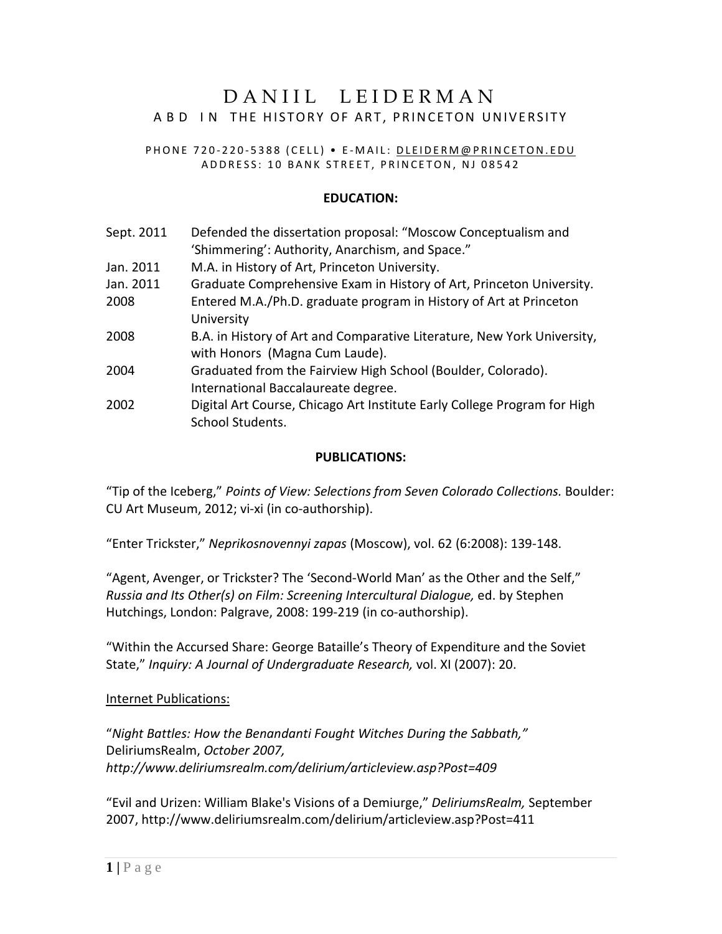# DANIIL LEIDERMAN ABD IN THE HISTORY OF ART, PRINCETON UNIVERSITY

#### PHONE 720-220-5388 (CELL) • E-MAIL: DLEIDERM@PRINCETON.EDU ADDRESS: 10 BANK STREET, PRINCETON, NJ 08542

### **EDUCATION:**

| Sept. 2011 | Defended the dissertation proposal: "Moscow Conceptualism and<br>'Shimmering': Authority, Anarchism, and Space." |
|------------|------------------------------------------------------------------------------------------------------------------|
| Jan. 2011  | M.A. in History of Art, Princeton University.                                                                    |
| Jan. 2011  | Graduate Comprehensive Exam in History of Art, Princeton University.                                             |
| 2008       | Entered M.A./Ph.D. graduate program in History of Art at Princeton<br>University                                 |
| 2008       | B.A. in History of Art and Comparative Literature, New York University,<br>with Honors (Magna Cum Laude).        |
| 2004       | Graduated from the Fairview High School (Boulder, Colorado).<br>International Baccalaureate degree.              |
| 2002       | Digital Art Course, Chicago Art Institute Early College Program for High<br>School Students.                     |

#### **PUBLICATIONS:**

"Tip of the Iceberg," *Points of View: Selections from Seven Colorado Collections.* Boulder: CU Art Museum, 2012; vi-xi (in co-authorship).

"Enter Trickster," *Neprikosnovennyi zapas* (Moscow), vol. 62 (6:2008): 139-148.

"Agent, Avenger, or Trickster? The 'Second-World Man' as the Other and the Self," *Russia and Its Other(s) on Film: Screening Intercultural Dialogue,* ed. by Stephen Hutchings, London: Palgrave, 2008: 199-219 (in co-authorship).

"Within the Accursed Share: George Bataille's Theory of Expenditure and the Soviet State," *Inquiry: A Journal of Undergraduate Research,* vol. XI (2007): 20.

### Internet Publications:

"*Night Battles: How the Benandanti Fought Witches During the Sabbath,"*  DeliriumsRealm, *October 2007, http://www.deliriumsrealm.com/delirium/articleview.asp?Post=409* 

"Evil and Urizen: William Blake's Visions of a Demiurge," *DeliriumsRealm,* September 2007, http://www.deliriumsrealm.com/delirium/articleview.asp?Post=411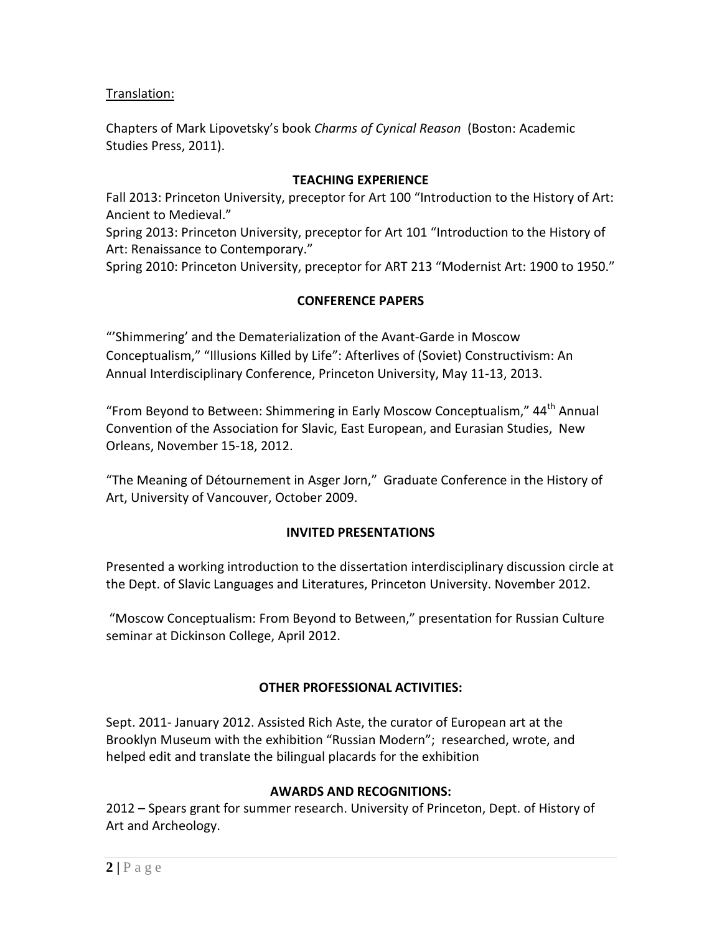Translation:

Chapters of Mark Lipovetsky's book *Charms of Cynical Reason* (Boston: Academic Studies Press, 2011).

### **TEACHING EXPERIENCE**

Fall 2013: Princeton University, preceptor for Art 100 "Introduction to the History of Art: Ancient to Medieval."

Spring 2013: Princeton University, preceptor for Art 101 "Introduction to the History of Art: Renaissance to Contemporary."

Spring 2010: Princeton University, preceptor for ART 213 "Modernist Art: 1900 to 1950."

## **CONFERENCE PAPERS**

"'Shimmering' and the Dematerialization of the Avant-Garde in Moscow Conceptualism," "Illusions Killed by Life": Afterlives of (Soviet) Constructivism: An Annual Interdisciplinary Conference, Princeton University, May 11-13, 2013.

"From Beyond to Between: Shimmering in Early Moscow Conceptualism," 44<sup>th</sup> Annual Convention of the Association for Slavic, East European, and Eurasian Studies, New Orleans, November 15-18, 2012.

"The Meaning of Détournement in Asger Jorn," Graduate Conference in the History of Art, University of Vancouver, October 2009.

### **INVITED PRESENTATIONS**

Presented a working introduction to the dissertation interdisciplinary discussion circle at the Dept. of Slavic Languages and Literatures, Princeton University. November 2012.

"Moscow Conceptualism: From Beyond to Between," presentation for Russian Culture seminar at Dickinson College, April 2012.

## **OTHER PROFESSIONAL ACTIVITIES:**

Sept. 2011- January 2012. Assisted Rich Aste, the curator of European art at the Brooklyn Museum with the exhibition "Russian Modern"; researched, wrote, and helped edit and translate the bilingual placards for the exhibition

### **AWARDS AND RECOGNITIONS:**

2012 – Spears grant for summer research. University of Princeton, Dept. of History of Art and Archeology.